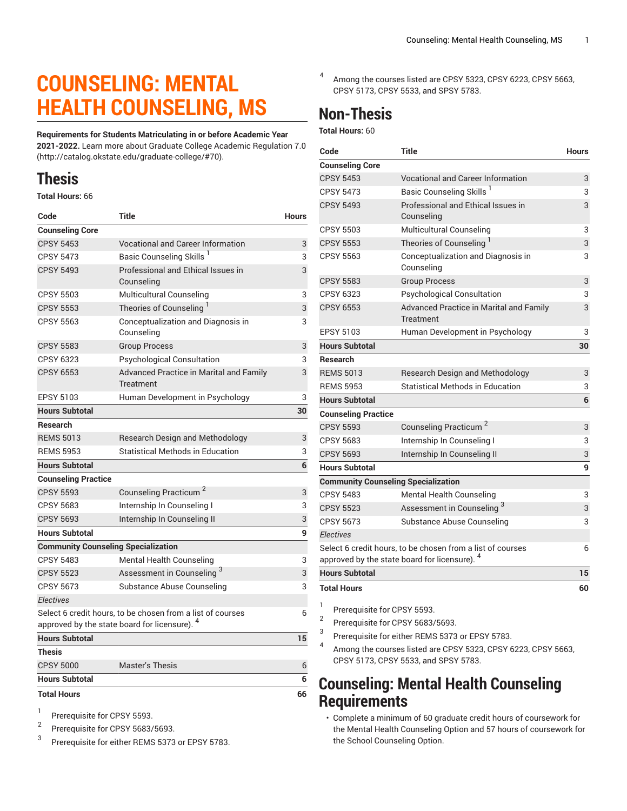# **COUNSELING: MENTAL HEALTH COUNSELING, MS**

**Requirements for Students Matriculating in or before Academic Year 2021-2022.** Learn more about [Graduate College Academic Regulation 7.0](http://catalog.okstate.edu/graduate-college/#70) (<http://catalog.okstate.edu/graduate-college/#70>).

## **Thesis**

**Total Hours:** 66

| Code                                                                                                                   | <b>Title</b>                                                | <b>Hours</b> |
|------------------------------------------------------------------------------------------------------------------------|-------------------------------------------------------------|--------------|
| <b>Counseling Core</b>                                                                                                 |                                                             |              |
| <b>CPSY 5453</b>                                                                                                       | Vocational and Career Information                           | 3            |
| <b>CPSY 5473</b>                                                                                                       | Basic Counseling Skills <sup>1</sup>                        | 3            |
| <b>CPSY 5493</b>                                                                                                       | Professional and Ethical Issues in<br>Counseling            | 3            |
| <b>CPSY 5503</b>                                                                                                       | Multicultural Counseling                                    | 3            |
| <b>CPSY 5553</b>                                                                                                       | Theories of Counseling                                      | 3            |
| <b>CPSY 5563</b>                                                                                                       | Conceptualization and Diagnosis in<br>Counseling            | 3            |
| <b>CPSY 5583</b>                                                                                                       | <b>Group Process</b>                                        | 3            |
| <b>CPSY 6323</b>                                                                                                       | Psychological Consultation                                  | 3            |
| CPSY 6553                                                                                                              | Advanced Practice in Marital and Family<br><b>Treatment</b> | 3            |
| <b>EPSY 5103</b>                                                                                                       | Human Development in Psychology                             | 3            |
| <b>Hours Subtotal</b>                                                                                                  |                                                             | 30           |
| <b>Research</b>                                                                                                        |                                                             |              |
| <b>REMS 5013</b>                                                                                                       | Research Design and Methodology                             | 3            |
| <b>REMS 5953</b>                                                                                                       | Statistical Methods in Education                            | 3            |
| <b>Hours Subtotal</b>                                                                                                  |                                                             | 6            |
| <b>Counseling Practice</b>                                                                                             |                                                             |              |
| <b>CPSY 5593</b>                                                                                                       | Counseling Practicum <sup>2</sup>                           | 3            |
| <b>CPSY 5683</b>                                                                                                       | Internship In Counseling I                                  | 3            |
| <b>CPSY 5693</b>                                                                                                       | Internship In Counseling II                                 | 3            |
| <b>Hours Subtotal</b>                                                                                                  |                                                             | 9            |
| <b>Community Counseling Specialization</b>                                                                             |                                                             |              |
| <b>CPSY 5483</b>                                                                                                       | <b>Mental Health Counseling</b>                             | 3            |
| <b>CPSY 5523</b>                                                                                                       | Assessment in Counseling <sup>3</sup>                       | 3            |
| <b>CPSY 5673</b>                                                                                                       | Substance Abuse Counseling                                  | 3            |
| <b>Electives</b>                                                                                                       |                                                             |              |
| Select 6 credit hours, to be chosen from a list of courses<br>approved by the state board for licensure). <sup>4</sup> |                                                             | 6            |
| <b>Hours Subtotal</b>                                                                                                  |                                                             | 15           |
| <b>Thesis</b>                                                                                                          |                                                             |              |
| <b>CPSY 5000</b>                                                                                                       | <b>Master's Thesis</b>                                      | 6            |
| <b>Hours Subtotal</b>                                                                                                  |                                                             | 6            |
| <b>Total Hours</b>                                                                                                     |                                                             | 66           |

- 1 Prerequisite for CPSY 5593.
- 2 Prerequisite for CPSY 5683/5693.
- 3 Prerequisite for either REMS 5373 or EPSY 5783.

4 Among the courses listed are CPSY 5323, CPSY 6223, CPSY 5663, CPSY 5173, CPSY 5533, and SPSY 5783.

## **Non-Thesis**

**Total Hours:** 60

| Code                                       | <b>Title</b>                                                       | <b>Hours</b> |
|--------------------------------------------|--------------------------------------------------------------------|--------------|
| <b>Counseling Core</b>                     |                                                                    |              |
| <b>CPSY 5453</b>                           | <b>Vocational and Career Information</b>                           | 3            |
| <b>CPSY 5473</b>                           | Basic Counseling Skills <sup>1</sup>                               | 3            |
| <b>CPSY 5493</b>                           | Professional and Ethical Issues in<br>Counseling                   | 3            |
| <b>CPSY 5503</b>                           | <b>Multicultural Counseling</b>                                    | 3            |
| <b>CPSY 5553</b>                           | Theories of Counseling                                             | 3            |
| <b>CPSY 5563</b>                           | Conceptualization and Diagnosis in<br>Counseling                   | 3            |
| <b>CPSY 5583</b>                           | <b>Group Process</b>                                               | 3            |
| CPSY 6323                                  | <b>Psychological Consultation</b>                                  | 3            |
| <b>CPSY 6553</b>                           | <b>Advanced Practice in Marital and Family</b><br><b>Treatment</b> | 3            |
| <b>EPSY 5103</b>                           | Human Development in Psychology                                    | 3            |
| <b>Hours Subtotal</b>                      |                                                                    | 30           |
| <b>Research</b>                            |                                                                    |              |
| <b>REMS 5013</b>                           | <b>Research Design and Methodology</b>                             | 3            |
| <b>REMS 5953</b>                           | <b>Statistical Methods in Education</b>                            | 3            |
| <b>Hours Subtotal</b>                      |                                                                    | 6            |
| <b>Counseling Practice</b>                 |                                                                    |              |
| <b>CPSY 5593</b>                           | Counseling Practicum <sup>2</sup>                                  | 3            |
| <b>CPSY 5683</b>                           | Internship In Counseling I                                         | 3            |
| <b>CPSY 5693</b>                           | Internship In Counseling II                                        | 3            |
| <b>Hours Subtotal</b>                      |                                                                    | 9            |
| <b>Community Counseling Specialization</b> |                                                                    |              |
| <b>CPSY 5483</b>                           | <b>Mental Health Counseling</b>                                    | 3            |
| <b>CPSY 5523</b>                           | Assessment in Counseling <sup>3</sup>                              | 3            |
| <b>CPSY 5673</b>                           | Substance Abuse Counseling                                         | 3            |
| <b>Electives</b>                           |                                                                    |              |
|                                            | Select 6 credit hours, to be chosen from a list of courses         | 6            |
|                                            | approved by the state board for licensure).                        |              |
| <b>Hours Subtotal</b>                      |                                                                    | 15           |
| <b>Total Hours</b>                         |                                                                    | 60           |

1 Prerequisite for CPSY 5593.

2 Prerequisite for CPSY 5683/5693.

- 3 Prerequisite for either REMS 5373 or EPSY 5783.
- 4 Among the courses listed are CPSY 5323, CPSY 6223, CPSY 5663, CPSY 5173, CPSY 5533, and SPSY 5783.

### **Counseling: Mental Health Counseling Requirements**

• Complete a minimum of 60 graduate credit hours of coursework for the Mental Health Counseling Option and 57 hours of coursework for the School Counseling Option.